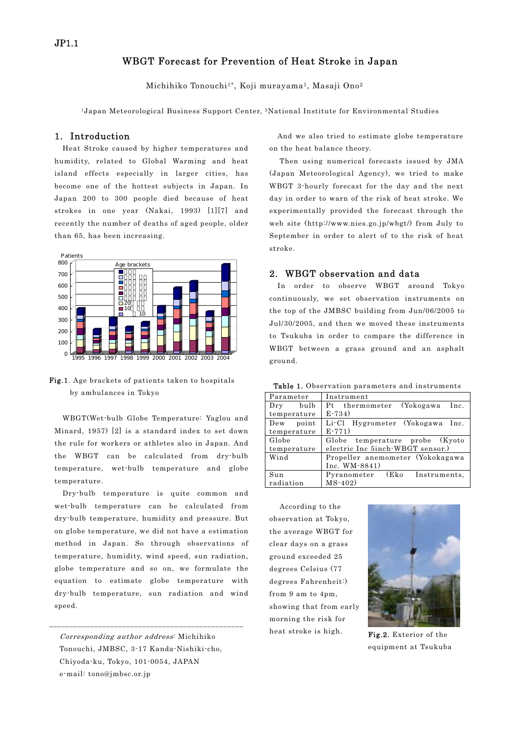# WBGT Forecast for Prevention of Heat Stroke in Japan

Michihiko Tonouchi<sup>1\*</sup>, Koji murayama<sup>1</sup>, Masaji Ono<sup>2</sup>

1Japan Meteorological Business Support Center, 2National Institute for Environmental Studies

#### 1. Introduction

Heat Stroke caused by higher temperatures and humidity, related to Global Warming and heat island effects especially in larger cities, has become one of the hottest subjects in Japan. In Japan 200 to 300 people died because of heat strokes in one year (Nakai, 1993) [1][7] and recently the number of deaths of aged people, older than 65, has been increasing.



Fig.1. Age brackets of patients taken to hospitals by ambulances in Tokyo

WBGT(Wet-bulb Globe Temperature: Yaglou and Minard, 1957) [2] is a standard index to set down the rule for workers or athletes also in Japan. And the WBGT can be calculated from dry-bulb temperature, wet-bulb temperature and globe temperature.

Dry-bulb temperature is quite common and wet-bulb temperature can be calculated from dry-bulb temperature, humidity and pressure. But on globe temperature, we did not have a estimation method in Japan. So through observations of temperature, humidity, wind speed, sun radiation, globe temperature and so on, we formulate the equation to estimate globe temperature with dry-bulb temperature, sun radiation and wind speed.

Corresponding author address: Michihiko Tonouchi, JMBSC, 3-17 Kanda-Nishiki-cho, Chiyoda-ku, Tokyo, 101-0054, JAPAN e-mail: tono@jmbsc.or.jp

\_\_\_\_\_\_\_\_\_\_\_\_\_\_\_\_\_\_\_\_\_\_\_\_\_\_\_\_\_\_\_\_\_\_\_\_\_\_\_\_\_\_\_\_\_\_\_\_

And we also tried to estimate globe temperature on the heat balance theory.

Then using numerical forecasts issued by JMA (Japan Meteorological Agency), we tried to make WBGT 3-hourly forecast for the day and the next day in order to warn of the risk of heat stroke. We experimentally provided the forecast through the web site (http://www.nies.go.jp/wbgt/) from July to September in order to alert of to the risk of heat stroke.

## 2. WBGT observation and data

In order to observe WBGT around Tokyo continuously, we set observation instruments on the top of the JMBSC building from Jun/06/2005 to Jul/30/2005, and then we moved these instruments to Tsukuba in order to compare the difference in WBGT between a grass ground and an asphalt ground.

Table 1. Observation parameters and instruments

| Parameter     | Instrument                       |  |  |  |  |
|---------------|----------------------------------|--|--|--|--|
| Dry bulb      | (Yokogawa Inc.<br>Pt thermometer |  |  |  |  |
| temperature   | $E - 734$                        |  |  |  |  |
| Dew point     | Li-Cl Hygrometer (Yokogawa Inc.  |  |  |  |  |
| temperature   | $E - 771$                        |  |  |  |  |
| Globe         | Globe temperature probe (Kyoto   |  |  |  |  |
| temperature   | electric Inc 5inch WBGT sensor.) |  |  |  |  |
| Wind          | Propeller anemometer (Yokokagawa |  |  |  |  |
| Inc. WM-8841) |                                  |  |  |  |  |
| Sun           | Pyranometer (Eko Instruments,    |  |  |  |  |
| radiation     | $MS - 402$                       |  |  |  |  |

According to the observation at Tokyo, the average WBGT for clear days on a grass ground exceeded 25 degrees Celsius (77 degrees Fahrenheit:) from 9 am to 4pm, showing that from early morning the risk for



heat stroke is high. Fig.2. Exterior of the equipment at Tsukuba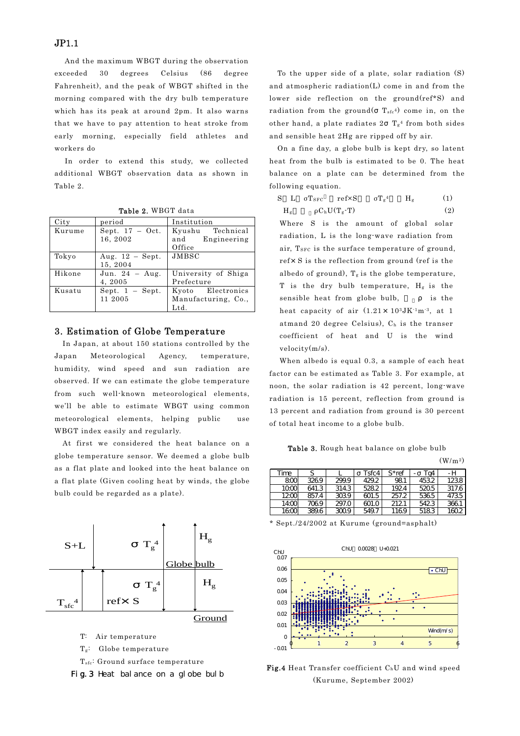### JP1.1

And the maximum WBGT during the observation exceeded 30 degrees Celsius (86 degree Fahrenheit), and the peak of WBGT shifted in the morning compared with the dry bulb temperature which has its peak at around 2pm. It also warns that we have to pay attention to heat stroke from early morning, especially field athletes and workers do

In order to extend this study, we collected additional WBGT observation data as shown in Table 2.

| City   | period            | Institution         |  |  |  |  |  |
|--------|-------------------|---------------------|--|--|--|--|--|
| Kurume | Sept. $17 - Oct.$ | Kyushu Technical    |  |  |  |  |  |
|        | 16, 2002          | and Engineering     |  |  |  |  |  |
|        |                   | Office              |  |  |  |  |  |
| Tokyo  | Aug. $12$ – Sept. | JMBSC               |  |  |  |  |  |
|        | 15, 2004          |                     |  |  |  |  |  |
| Hikone | Jun. $24 - Aug.$  | University of Shiga |  |  |  |  |  |
|        | 4, 2005           | Prefecture          |  |  |  |  |  |
| Kusatu | Sept. $1 -$ Sept. | Kyoto Electronics   |  |  |  |  |  |
|        | 11 2005           | Manufacturing, Co., |  |  |  |  |  |
|        |                   | $_{\rm Ltd.}$       |  |  |  |  |  |

Table 2. WBGT data

#### 3. Estimation of Globe Temperature

In Japan, at about 150 stations controlled by the Japan Meteorological Agency, temperature, humidity, wind speed and sun radiation are observed. If we can estimate the globe temperature from such well-known meteorological elements, we'll be able to estimate WBGT using common meteorological elements, helping public use WBGT index easily and regularly.

At first we considered the heat balance on a globe temperature sensor. We deemed a globe bulb as a flat plate and looked into the heat balance on a flat plate (Given cooling heat by winds, the globe bulb could be regarded as a plate).



- T: Air temperature
- Tg: Globe temperature
- T<sub>sfc</sub>: Ground surface temperature



To the upper side of a plate, solar radiation (S) and atmospheric radiation(L) come in and from the lower side reflection on the ground(ref\*S) and radiation from the ground( $T_{\text{sfc}}$ <sup>4</sup>) come in, on the other hand, a plate radiates  $2 \text{ Tg}^4$  from both sides and sensible heat 2Hg are ripped off by air.

On a fine day, a globe bulb is kept dry, so latent heat from the bulb is estimated to be 0. The heat balance on a plate can be determined from the following equation.

S L σ $T_{SFC}$  ref $\times S$  σ $T_g^4$  H<sub>g</sub> (1)  $H_g$   ${}_{\rho}C_bU(T_g-T)$  (2)

Where S is the amount of global solar radiation, L is the long-wave radiation from air, T<sub>SFC</sub> is the surface temperature of ground, ref×S is the reflection from ground (ref is the albedo of ground),  $T_g$  is the globe temperature, T is the dry bulb temperature,  $H_g$  is the sensible heat from globe bulb, is the heat capacity of air  $(1.21 \times 10^{3} J K^{1} m^{3})$ , at 1 atmand 20 degree Celsius), Ch is the transer coefficient of heat and U is the wind velocity(m/s).

When albedo is equal 0.3, a sample of each heat factor can be estimated as Table 3. For example, at noon, the solar radiation is 42 percent, long-wave radiation is 15 percent, reflection from ground is 13 percent and radiation from ground is 30 percent of total heat income to a globe bulb.

Table 3. Rough heat balance on globe bulb

|       |       |       |       |          |      | (W/m <sup>2</sup> ) |
|-------|-------|-------|-------|----------|------|---------------------|
| Time  | S     |       | Tsfc4 | $S*$ ref | Ta4  | -н                  |
| 800   | 3269  | 299.9 | 429.2 | 981      | 4532 | 1238                |
| 1000  | 641.3 | 314.3 | 528.2 | 1924     | 5205 | 317.6               |
| 1200  | 857.4 | 3039  | 601.5 | 257.2    | 5365 | 4735                |
| 14:00 | 7069  | 297.0 | 601.0 | 2121     | 5423 | 3661                |
| 1600  | 389.6 | 3009  | 549.7 | 1169     | 5183 | 1602                |

\* Sept./24/2002 at Kurume (ground=asphalt)



Fig.4 Heat Transfer coefficient C<sub>h</sub>U and wind speed (Kurume, September 2002)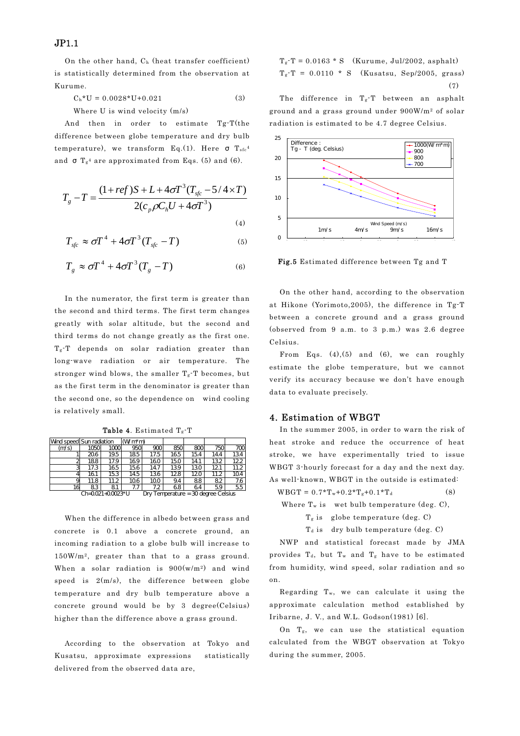JP1.1

On the other hand, Ch (heat transfer coefficient) is statistically determined from the observation at Kurume.

$$
C_h * U = 0.0028 * U + 0.021
$$
 (3)

Where U is wind velocity (m/s)

And then in order to estimate Tg-T(the difference between globe temperature and dry bulb temperature), we transform Eq.(1). Here  $T_{sfc}^4$ and  $T_g^4$  are approximated from Eqs. (5) and (6).

$$
T_g - T = \frac{(1 + ref)S + L + 4\sigma T^3 (T_{sfc} - 5/4 \times T)}{2(c_p \rho C_h U + 4\sigma T^3)}
$$
\n(4)

$$
T_{\text{sf}} \approx \sigma T^4 + 4\sigma T^3 (T_{\text{sf}} - T) \tag{5}
$$

$$
T_g \approx \sigma T^4 + 4\sigma T^3 (T_g - T) \tag{6}
$$

In the numerator, the first term is greater than the second and third terms. The first term changes greatly with solar altitude, but the second and third terms do not change greatly as the first one. Tg-T depends on solar radiation greater than long-wave radiation or air temperature. The stronger wind blows, the smaller  $T_g$ -T becomes, but as the first term in the denominator is greater than the second one, so the dependence on wind cooling is relatively small.

**Table 4.** Estimated  $T_g$ -T

|                 | Wind speed Sun radiation |      | (Wm*m)           |      |     |      |                                     |      |
|-----------------|--------------------------|------|------------------|------|-----|------|-------------------------------------|------|
| (m/s)           | 1050                     | 1000 | 950              | 900  | 850 | 800  | 750                                 | 700  |
|                 | 206                      | 19.5 | 185              | 17.5 | 165 | 15.4 | 14.4                                | 134  |
|                 | 188                      | 17.9 | 169 <sub>1</sub> | 160  | 150 | 14.1 | 132                                 | 122  |
|                 | 17.3                     | 165  | 156              | 14.7 | 139 | 13.0 | 121                                 | 11.2 |
|                 | 161                      | 153  | 14.5             | 136  | 128 | 120  | 11.2                                | 104  |
| a               | 11.8                     | 11.2 | 106              | 100  | 9.4 | 88   | 82                                  | 7.6  |
| 16              | 83                       | 81   | 7.7              | 7.2  | 68  | 64   | 59                                  | 55   |
| Ch=0021+00023*U |                          |      |                  |      |     |      | Dry Temperature = 30 degree Celsius |      |

When the difference in albedo between grass and concrete is 0.1 above a concrete ground, an incoming radiation to a globe bulb will increase to 150W/m2, greater than that to a grass ground. When a solar radiation is 900(w/m2) and wind speed is  $2(m/s)$ , the difference between globe temperature and dry bulb temperature above a concrete ground would be by 3 degree(Celsius) higher than the difference above a grass ground.

According to the observation at Tokyo and Kusatsu, approximate expressions statistically delivered from the observed data are,

 $T_g-T = 0.0163 * S$  (Kurume, Jul/2002, asphalt)  $T_g-T = 0.0110 * S$  (Kusatsu, Sep/2005, grass) (7)

The difference in Tg-T between an asphalt ground and a grass ground under 900W/m2 of solar radiation is estimated to be 4.7 degree Celsius.



Fig.5 Estimated difference between Tg and T

On the other hand, according to the observation at Hikone (Yorimoto,2005), the difference in Tg-T between a concrete ground and a grass ground (observed from 9 a.m. to 3 p.m.) was 2.6 degree Celsius.

From Eqs. (4), (5) and (6), we can roughly estimate the globe temperature, but we cannot verify its accuracy because we don't have enough data to evaluate precisely.

### 4. Estimation of WBGT

In the summer 2005, in order to warn the risk of heat stroke and reduce the occurrence of heat stroke, we have experimentally tried to issue WBGT 3-hourly forecast for a day and the next day. As well-known, WBGT in the outside is estimated:

 $WBGT = 0.7 * T_w + 0.2 * T_g + 0.1 * T_d$  (8)

Where  $T_w$  is wet bulb temperature (deg. C),

```
T_g is globe temperature (deg. C)
```
 $T<sub>d</sub>$  is dry bulb temperature (deg. C)

NWP and statistical forecast made by JMA provides  $T_d$ , but  $T_w$  and  $T_g$  have to be estimated from humidity, wind speed, solar radiation and so on.

Regarding Tw, we can calculate it using the approximate calculation method established by Iribarne, J. V., and W.L. Godson(1981) [6].

On Tg, we can use the statistical equation calculated from the WBGT observation at Tokyo during the summer, 2005.